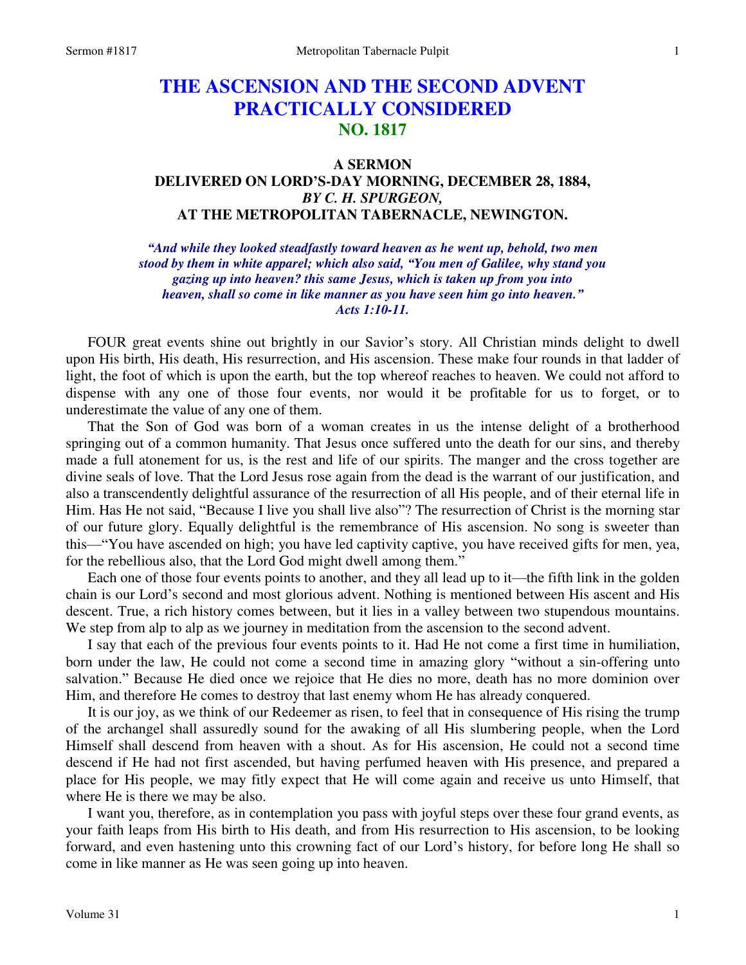# **THE ASCENSION AND THE SECOND ADVENT PRACTICALLY CONSIDERED NO. 1817**

#### **A SERMON**

## **DELIVERED ON LORD'S-DAY MORNING, DECEMBER 28, 1884,**  *BY C. H. SPURGEON,*  **AT THE METROPOLITAN TABERNACLE, NEWINGTON.**

*"And while they looked steadfastly toward heaven as he went up, behold, two men stood by them in white apparel; which also said, "You men of Galilee, why stand you gazing up into heaven? this same Jesus, which is taken up from you into heaven, shall so come in like manner as you have seen him go into heaven." Acts 1:10-11.* 

FOUR great events shine out brightly in our Savior's story. All Christian minds delight to dwell upon His birth, His death, His resurrection, and His ascension. These make four rounds in that ladder of light, the foot of which is upon the earth, but the top whereof reaches to heaven. We could not afford to dispense with any one of those four events, nor would it be profitable for us to forget, or to underestimate the value of any one of them.

 That the Son of God was born of a woman creates in us the intense delight of a brotherhood springing out of a common humanity. That Jesus once suffered unto the death for our sins, and thereby made a full atonement for us, is the rest and life of our spirits. The manger and the cross together are divine seals of love. That the Lord Jesus rose again from the dead is the warrant of our justification, and also a transcendently delightful assurance of the resurrection of all His people, and of their eternal life in Him. Has He not said, "Because I live you shall live also"? The resurrection of Christ is the morning star of our future glory. Equally delightful is the remembrance of His ascension. No song is sweeter than this—"You have ascended on high; you have led captivity captive, you have received gifts for men, yea, for the rebellious also, that the Lord God might dwell among them."

 Each one of those four events points to another, and they all lead up to it—the fifth link in the golden chain is our Lord's second and most glorious advent. Nothing is mentioned between His ascent and His descent. True, a rich history comes between, but it lies in a valley between two stupendous mountains. We step from alp to alp as we journey in meditation from the ascension to the second advent.

 I say that each of the previous four events points to it. Had He not come a first time in humiliation, born under the law, He could not come a second time in amazing glory "without a sin-offering unto salvation." Because He died once we rejoice that He dies no more, death has no more dominion over Him, and therefore He comes to destroy that last enemy whom He has already conquered.

 It is our joy, as we think of our Redeemer as risen, to feel that in consequence of His rising the trump of the archangel shall assuredly sound for the awaking of all His slumbering people, when the Lord Himself shall descend from heaven with a shout. As for His ascension, He could not a second time descend if He had not first ascended, but having perfumed heaven with His presence, and prepared a place for His people, we may fitly expect that He will come again and receive us unto Himself, that where He is there we may be also.

 I want you, therefore, as in contemplation you pass with joyful steps over these four grand events, as your faith leaps from His birth to His death, and from His resurrection to His ascension, to be looking forward, and even hastening unto this crowning fact of our Lord's history, for before long He shall so come in like manner as He was seen going up into heaven.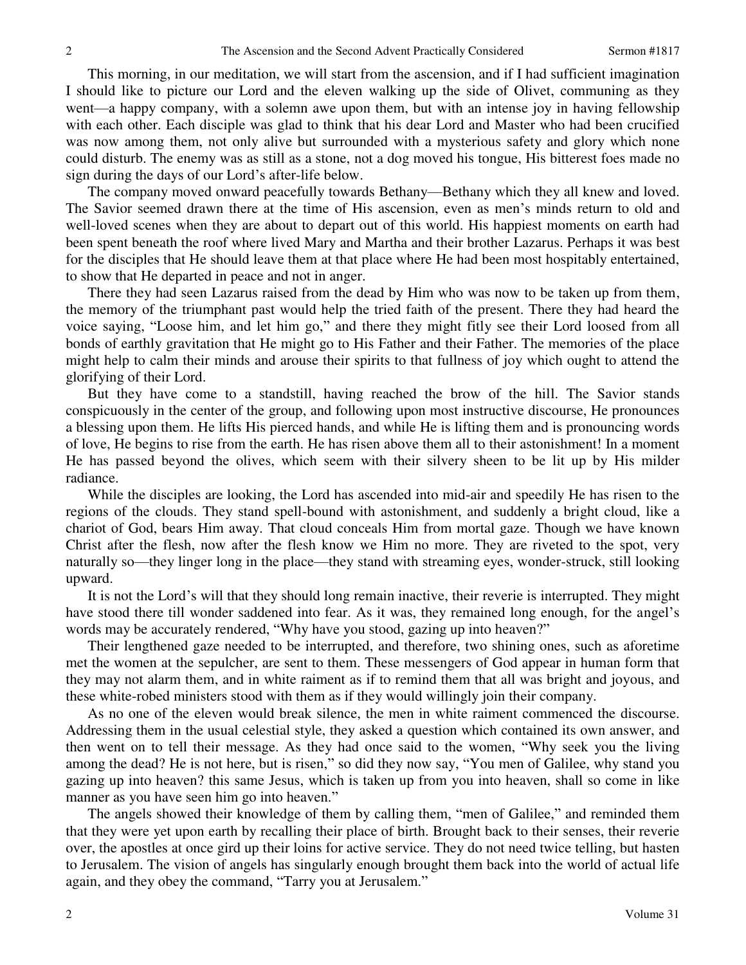This morning, in our meditation, we will start from the ascension, and if I had sufficient imagination I should like to picture our Lord and the eleven walking up the side of Olivet, communing as they went—a happy company, with a solemn awe upon them, but with an intense joy in having fellowship with each other. Each disciple was glad to think that his dear Lord and Master who had been crucified was now among them, not only alive but surrounded with a mysterious safety and glory which none could disturb. The enemy was as still as a stone, not a dog moved his tongue, His bitterest foes made no sign during the days of our Lord's after-life below.

 The company moved onward peacefully towards Bethany—Bethany which they all knew and loved. The Savior seemed drawn there at the time of His ascension, even as men's minds return to old and well-loved scenes when they are about to depart out of this world. His happiest moments on earth had been spent beneath the roof where lived Mary and Martha and their brother Lazarus. Perhaps it was best for the disciples that He should leave them at that place where He had been most hospitably entertained, to show that He departed in peace and not in anger.

 There they had seen Lazarus raised from the dead by Him who was now to be taken up from them, the memory of the triumphant past would help the tried faith of the present. There they had heard the voice saying, "Loose him, and let him go," and there they might fitly see their Lord loosed from all bonds of earthly gravitation that He might go to His Father and their Father. The memories of the place might help to calm their minds and arouse their spirits to that fullness of joy which ought to attend the glorifying of their Lord.

 But they have come to a standstill, having reached the brow of the hill. The Savior stands conspicuously in the center of the group, and following upon most instructive discourse, He pronounces a blessing upon them. He lifts His pierced hands, and while He is lifting them and is pronouncing words of love, He begins to rise from the earth. He has risen above them all to their astonishment! In a moment He has passed beyond the olives, which seem with their silvery sheen to be lit up by His milder radiance.

 While the disciples are looking, the Lord has ascended into mid-air and speedily He has risen to the regions of the clouds. They stand spell-bound with astonishment, and suddenly a bright cloud, like a chariot of God, bears Him away. That cloud conceals Him from mortal gaze. Though we have known Christ after the flesh, now after the flesh know we Him no more. They are riveted to the spot, very naturally so—they linger long in the place—they stand with streaming eyes, wonder-struck, still looking upward.

 It is not the Lord's will that they should long remain inactive, their reverie is interrupted. They might have stood there till wonder saddened into fear. As it was, they remained long enough, for the angel's words may be accurately rendered, "Why have you stood, gazing up into heaven?"

 Their lengthened gaze needed to be interrupted, and therefore, two shining ones, such as aforetime met the women at the sepulcher, are sent to them. These messengers of God appear in human form that they may not alarm them, and in white raiment as if to remind them that all was bright and joyous, and these white-robed ministers stood with them as if they would willingly join their company.

 As no one of the eleven would break silence, the men in white raiment commenced the discourse. Addressing them in the usual celestial style, they asked a question which contained its own answer, and then went on to tell their message. As they had once said to the women, "Why seek you the living among the dead? He is not here, but is risen," so did they now say, "You men of Galilee, why stand you gazing up into heaven? this same Jesus, which is taken up from you into heaven, shall so come in like manner as you have seen him go into heaven."

 The angels showed their knowledge of them by calling them, "men of Galilee," and reminded them that they were yet upon earth by recalling their place of birth. Brought back to their senses, their reverie over, the apostles at once gird up their loins for active service. They do not need twice telling, but hasten to Jerusalem. The vision of angels has singularly enough brought them back into the world of actual life again, and they obey the command, "Tarry you at Jerusalem."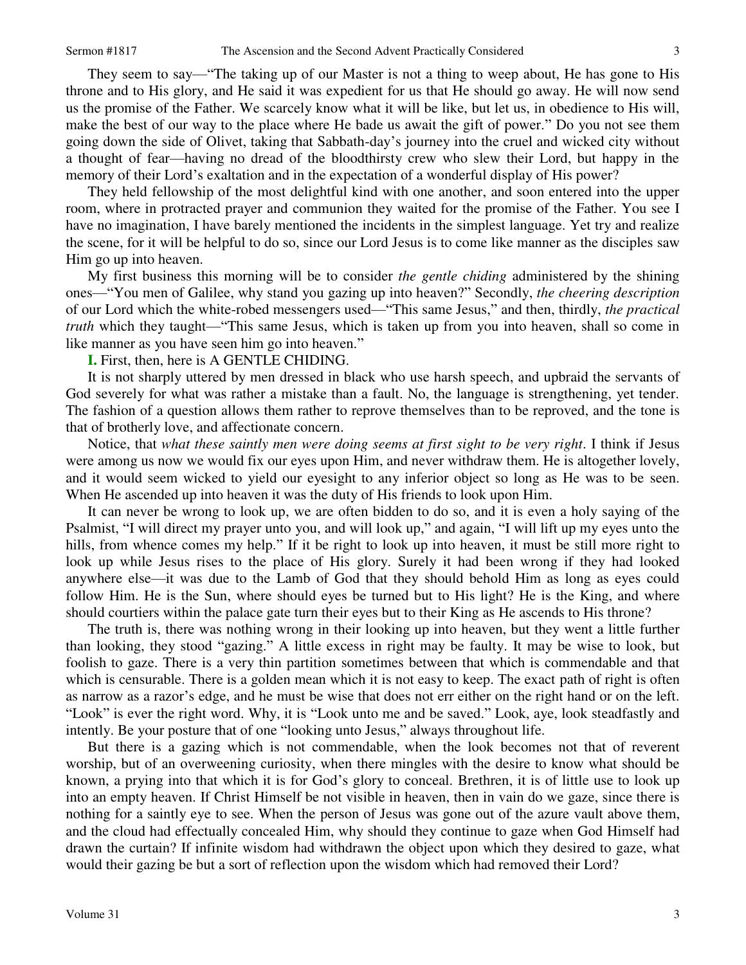They seem to say—"The taking up of our Master is not a thing to weep about, He has gone to His throne and to His glory, and He said it was expedient for us that He should go away. He will now send us the promise of the Father. We scarcely know what it will be like, but let us, in obedience to His will, make the best of our way to the place where He bade us await the gift of power." Do you not see them going down the side of Olivet, taking that Sabbath-day's journey into the cruel and wicked city without a thought of fear—having no dread of the bloodthirsty crew who slew their Lord, but happy in the memory of their Lord's exaltation and in the expectation of a wonderful display of His power?

 They held fellowship of the most delightful kind with one another, and soon entered into the upper room, where in protracted prayer and communion they waited for the promise of the Father. You see I have no imagination, I have barely mentioned the incidents in the simplest language. Yet try and realize the scene, for it will be helpful to do so, since our Lord Jesus is to come like manner as the disciples saw Him go up into heaven.

 My first business this morning will be to consider *the gentle chiding* administered by the shining ones—"You men of Galilee, why stand you gazing up into heaven?" Secondly, *the cheering description*  of our Lord which the white-robed messengers used—"This same Jesus," and then, thirdly, *the practical truth* which they taught—"This same Jesus, which is taken up from you into heaven, shall so come in like manner as you have seen him go into heaven."

**I.** First, then, here is A GENTLE CHIDING.

 It is not sharply uttered by men dressed in black who use harsh speech, and upbraid the servants of God severely for what was rather a mistake than a fault. No, the language is strengthening, yet tender. The fashion of a question allows them rather to reprove themselves than to be reproved, and the tone is that of brotherly love, and affectionate concern.

 Notice, that *what these saintly men were doing seems at first sight to be very right*. I think if Jesus were among us now we would fix our eyes upon Him, and never withdraw them. He is altogether lovely, and it would seem wicked to yield our eyesight to any inferior object so long as He was to be seen. When He ascended up into heaven it was the duty of His friends to look upon Him.

 It can never be wrong to look up, we are often bidden to do so, and it is even a holy saying of the Psalmist, "I will direct my prayer unto you, and will look up," and again, "I will lift up my eyes unto the hills, from whence comes my help." If it be right to look up into heaven, it must be still more right to look up while Jesus rises to the place of His glory. Surely it had been wrong if they had looked anywhere else—it was due to the Lamb of God that they should behold Him as long as eyes could follow Him. He is the Sun, where should eyes be turned but to His light? He is the King, and where should courtiers within the palace gate turn their eyes but to their King as He ascends to His throne?

 The truth is, there was nothing wrong in their looking up into heaven, but they went a little further than looking, they stood "gazing." A little excess in right may be faulty. It may be wise to look, but foolish to gaze. There is a very thin partition sometimes between that which is commendable and that which is censurable. There is a golden mean which it is not easy to keep. The exact path of right is often as narrow as a razor's edge, and he must be wise that does not err either on the right hand or on the left. "Look" is ever the right word. Why, it is "Look unto me and be saved." Look, aye, look steadfastly and intently. Be your posture that of one "looking unto Jesus," always throughout life.

 But there is a gazing which is not commendable, when the look becomes not that of reverent worship, but of an overweening curiosity, when there mingles with the desire to know what should be known, a prying into that which it is for God's glory to conceal. Brethren, it is of little use to look up into an empty heaven. If Christ Himself be not visible in heaven, then in vain do we gaze, since there is nothing for a saintly eye to see. When the person of Jesus was gone out of the azure vault above them, and the cloud had effectually concealed Him, why should they continue to gaze when God Himself had drawn the curtain? If infinite wisdom had withdrawn the object upon which they desired to gaze, what would their gazing be but a sort of reflection upon the wisdom which had removed their Lord?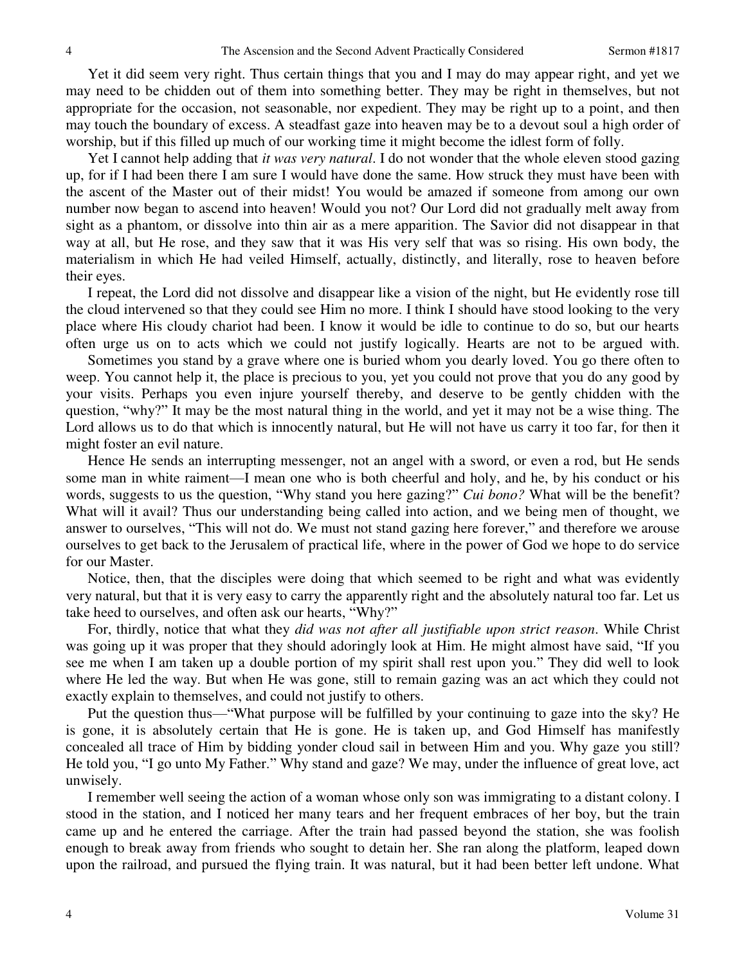Yet it did seem very right. Thus certain things that you and I may do may appear right, and yet we may need to be chidden out of them into something better. They may be right in themselves, but not appropriate for the occasion, not seasonable, nor expedient. They may be right up to a point, and then may touch the boundary of excess. A steadfast gaze into heaven may be to a devout soul a high order of worship, but if this filled up much of our working time it might become the idlest form of folly.

 Yet I cannot help adding that *it was very natural*. I do not wonder that the whole eleven stood gazing up, for if I had been there I am sure I would have done the same. How struck they must have been with the ascent of the Master out of their midst! You would be amazed if someone from among our own number now began to ascend into heaven! Would you not? Our Lord did not gradually melt away from sight as a phantom, or dissolve into thin air as a mere apparition. The Savior did not disappear in that way at all, but He rose, and they saw that it was His very self that was so rising. His own body, the materialism in which He had veiled Himself, actually, distinctly, and literally, rose to heaven before their eyes.

 I repeat, the Lord did not dissolve and disappear like a vision of the night, but He evidently rose till the cloud intervened so that they could see Him no more. I think I should have stood looking to the very place where His cloudy chariot had been. I know it would be idle to continue to do so, but our hearts often urge us on to acts which we could not justify logically. Hearts are not to be argued with.

 Sometimes you stand by a grave where one is buried whom you dearly loved. You go there often to weep. You cannot help it, the place is precious to you, yet you could not prove that you do any good by your visits. Perhaps you even injure yourself thereby, and deserve to be gently chidden with the question, "why?" It may be the most natural thing in the world, and yet it may not be a wise thing. The Lord allows us to do that which is innocently natural, but He will not have us carry it too far, for then it might foster an evil nature.

 Hence He sends an interrupting messenger, not an angel with a sword, or even a rod, but He sends some man in white raiment—I mean one who is both cheerful and holy, and he, by his conduct or his words, suggests to us the question, "Why stand you here gazing?" *Cui bono?* What will be the benefit? What will it avail? Thus our understanding being called into action, and we being men of thought, we answer to ourselves, "This will not do. We must not stand gazing here forever," and therefore we arouse ourselves to get back to the Jerusalem of practical life, where in the power of God we hope to do service for our Master.

 Notice, then, that the disciples were doing that which seemed to be right and what was evidently very natural, but that it is very easy to carry the apparently right and the absolutely natural too far. Let us take heed to ourselves, and often ask our hearts, "Why?"

 For, thirdly, notice that what they *did was not after all justifiable upon strict reason*. While Christ was going up it was proper that they should adoringly look at Him. He might almost have said, "If you see me when I am taken up a double portion of my spirit shall rest upon you." They did well to look where He led the way. But when He was gone, still to remain gazing was an act which they could not exactly explain to themselves, and could not justify to others.

 Put the question thus—"What purpose will be fulfilled by your continuing to gaze into the sky? He is gone, it is absolutely certain that He is gone. He is taken up, and God Himself has manifestly concealed all trace of Him by bidding yonder cloud sail in between Him and you. Why gaze you still? He told you, "I go unto My Father." Why stand and gaze? We may, under the influence of great love, act unwisely.

 I remember well seeing the action of a woman whose only son was immigrating to a distant colony. I stood in the station, and I noticed her many tears and her frequent embraces of her boy, but the train came up and he entered the carriage. After the train had passed beyond the station, she was foolish enough to break away from friends who sought to detain her. She ran along the platform, leaped down upon the railroad, and pursued the flying train. It was natural, but it had been better left undone. What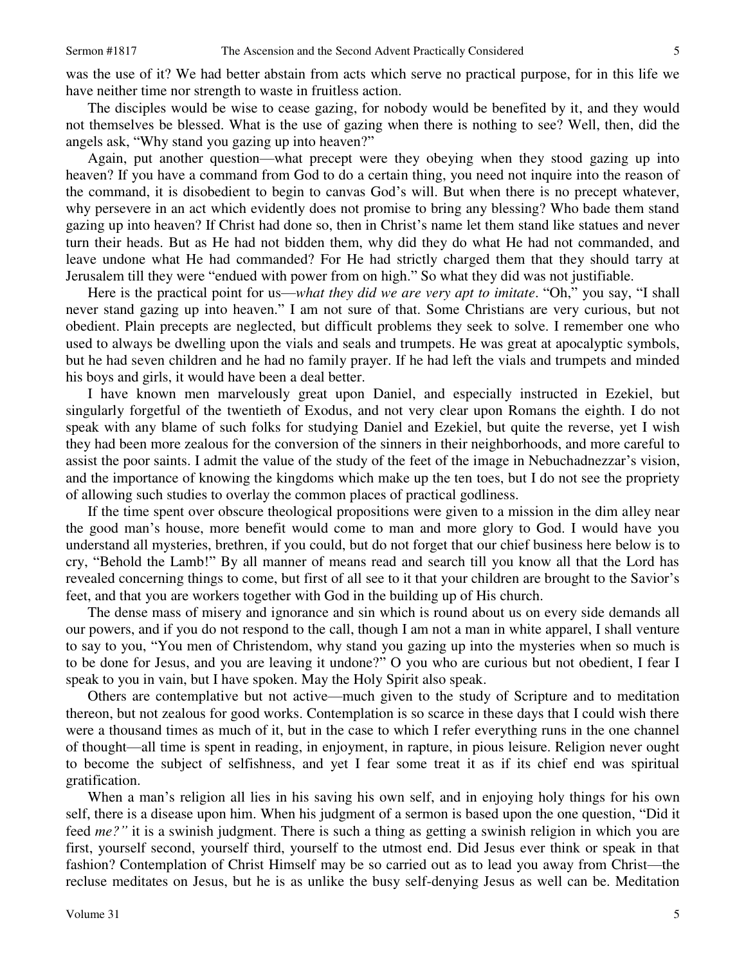The disciples would be wise to cease gazing, for nobody would be benefited by it, and they would not themselves be blessed. What is the use of gazing when there is nothing to see? Well, then, did the angels ask, "Why stand you gazing up into heaven?"

 Again, put another question—what precept were they obeying when they stood gazing up into heaven? If you have a command from God to do a certain thing, you need not inquire into the reason of the command, it is disobedient to begin to canvas God's will. But when there is no precept whatever, why persevere in an act which evidently does not promise to bring any blessing? Who bade them stand gazing up into heaven? If Christ had done so, then in Christ's name let them stand like statues and never turn their heads. But as He had not bidden them, why did they do what He had not commanded, and leave undone what He had commanded? For He had strictly charged them that they should tarry at Jerusalem till they were "endued with power from on high." So what they did was not justifiable.

 Here is the practical point for us—*what they did we are very apt to imitate*. "Oh," you say, "I shall never stand gazing up into heaven." I am not sure of that. Some Christians are very curious, but not obedient. Plain precepts are neglected, but difficult problems they seek to solve. I remember one who used to always be dwelling upon the vials and seals and trumpets. He was great at apocalyptic symbols, but he had seven children and he had no family prayer. If he had left the vials and trumpets and minded his boys and girls, it would have been a deal better.

 I have known men marvelously great upon Daniel, and especially instructed in Ezekiel, but singularly forgetful of the twentieth of Exodus, and not very clear upon Romans the eighth. I do not speak with any blame of such folks for studying Daniel and Ezekiel, but quite the reverse, yet I wish they had been more zealous for the conversion of the sinners in their neighborhoods, and more careful to assist the poor saints. I admit the value of the study of the feet of the image in Nebuchadnezzar's vision, and the importance of knowing the kingdoms which make up the ten toes, but I do not see the propriety of allowing such studies to overlay the common places of practical godliness.

 If the time spent over obscure theological propositions were given to a mission in the dim alley near the good man's house, more benefit would come to man and more glory to God. I would have you understand all mysteries, brethren, if you could, but do not forget that our chief business here below is to cry, "Behold the Lamb!" By all manner of means read and search till you know all that the Lord has revealed concerning things to come, but first of all see to it that your children are brought to the Savior's feet, and that you are workers together with God in the building up of His church.

 The dense mass of misery and ignorance and sin which is round about us on every side demands all our powers, and if you do not respond to the call, though I am not a man in white apparel, I shall venture to say to you, "You men of Christendom, why stand you gazing up into the mysteries when so much is to be done for Jesus, and you are leaving it undone?" O you who are curious but not obedient, I fear I speak to you in vain, but I have spoken. May the Holy Spirit also speak.

 Others are contemplative but not active—much given to the study of Scripture and to meditation thereon, but not zealous for good works. Contemplation is so scarce in these days that I could wish there were a thousand times as much of it, but in the case to which I refer everything runs in the one channel of thought—all time is spent in reading, in enjoyment, in rapture, in pious leisure. Religion never ought to become the subject of selfishness, and yet I fear some treat it as if its chief end was spiritual gratification.

 When a man's religion all lies in his saving his own self, and in enjoying holy things for his own self, there is a disease upon him. When his judgment of a sermon is based upon the one question, "Did it feed *me?*<sup>"</sup> it is a swinish judgment. There is such a thing as getting a swinish religion in which you are first, yourself second, yourself third, yourself to the utmost end. Did Jesus ever think or speak in that fashion? Contemplation of Christ Himself may be so carried out as to lead you away from Christ—the recluse meditates on Jesus, but he is as unlike the busy self-denying Jesus as well can be. Meditation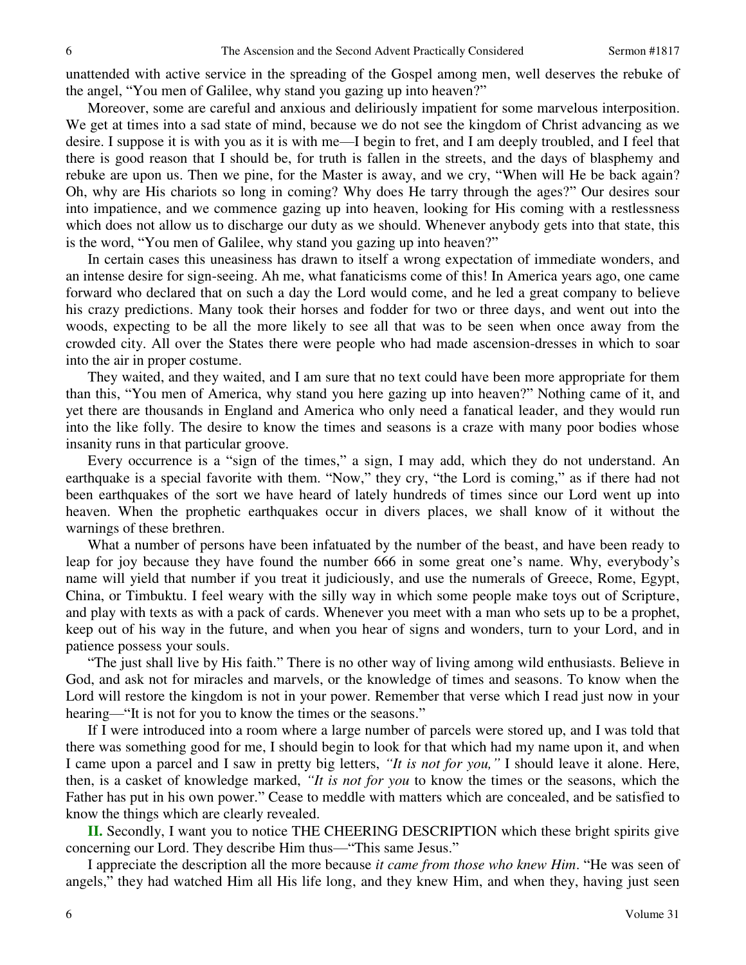unattended with active service in the spreading of the Gospel among men, well deserves the rebuke of the angel, "You men of Galilee, why stand you gazing up into heaven?"

 Moreover, some are careful and anxious and deliriously impatient for some marvelous interposition. We get at times into a sad state of mind, because we do not see the kingdom of Christ advancing as we desire. I suppose it is with you as it is with me—I begin to fret, and I am deeply troubled, and I feel that there is good reason that I should be, for truth is fallen in the streets, and the days of blasphemy and rebuke are upon us. Then we pine, for the Master is away, and we cry, "When will He be back again? Oh, why are His chariots so long in coming? Why does He tarry through the ages?" Our desires sour into impatience, and we commence gazing up into heaven, looking for His coming with a restlessness which does not allow us to discharge our duty as we should. Whenever anybody gets into that state, this is the word, "You men of Galilee, why stand you gazing up into heaven?"

 In certain cases this uneasiness has drawn to itself a wrong expectation of immediate wonders, and an intense desire for sign-seeing. Ah me, what fanaticisms come of this! In America years ago, one came forward who declared that on such a day the Lord would come, and he led a great company to believe his crazy predictions. Many took their horses and fodder for two or three days, and went out into the woods, expecting to be all the more likely to see all that was to be seen when once away from the crowded city. All over the States there were people who had made ascension-dresses in which to soar into the air in proper costume.

 They waited, and they waited, and I am sure that no text could have been more appropriate for them than this, "You men of America, why stand you here gazing up into heaven?" Nothing came of it, and yet there are thousands in England and America who only need a fanatical leader, and they would run into the like folly. The desire to know the times and seasons is a craze with many poor bodies whose insanity runs in that particular groove.

 Every occurrence is a "sign of the times," a sign, I may add, which they do not understand. An earthquake is a special favorite with them. "Now," they cry, "the Lord is coming," as if there had not been earthquakes of the sort we have heard of lately hundreds of times since our Lord went up into heaven. When the prophetic earthquakes occur in divers places, we shall know of it without the warnings of these brethren.

 What a number of persons have been infatuated by the number of the beast, and have been ready to leap for joy because they have found the number 666 in some great one's name. Why, everybody's name will yield that number if you treat it judiciously, and use the numerals of Greece, Rome, Egypt, China, or Timbuktu. I feel weary with the silly way in which some people make toys out of Scripture, and play with texts as with a pack of cards. Whenever you meet with a man who sets up to be a prophet, keep out of his way in the future, and when you hear of signs and wonders, turn to your Lord, and in patience possess your souls.

"The just shall live by His faith." There is no other way of living among wild enthusiasts. Believe in God, and ask not for miracles and marvels, or the knowledge of times and seasons. To know when the Lord will restore the kingdom is not in your power. Remember that verse which I read just now in your hearing—"It is not for you to know the times or the seasons."

 If I were introduced into a room where a large number of parcels were stored up, and I was told that there was something good for me, I should begin to look for that which had my name upon it, and when I came upon a parcel and I saw in pretty big letters, *"It is not for you,"* I should leave it alone. Here, then, is a casket of knowledge marked, *"It is not for you* to know the times or the seasons, which the Father has put in his own power." Cease to meddle with matters which are concealed, and be satisfied to know the things which are clearly revealed.

**II.** Secondly, I want you to notice THE CHEERING DESCRIPTION which these bright spirits give concerning our Lord. They describe Him thus—"This same Jesus."

 I appreciate the description all the more because *it came from those who knew Him*. "He was seen of angels," they had watched Him all His life long, and they knew Him, and when they, having just seen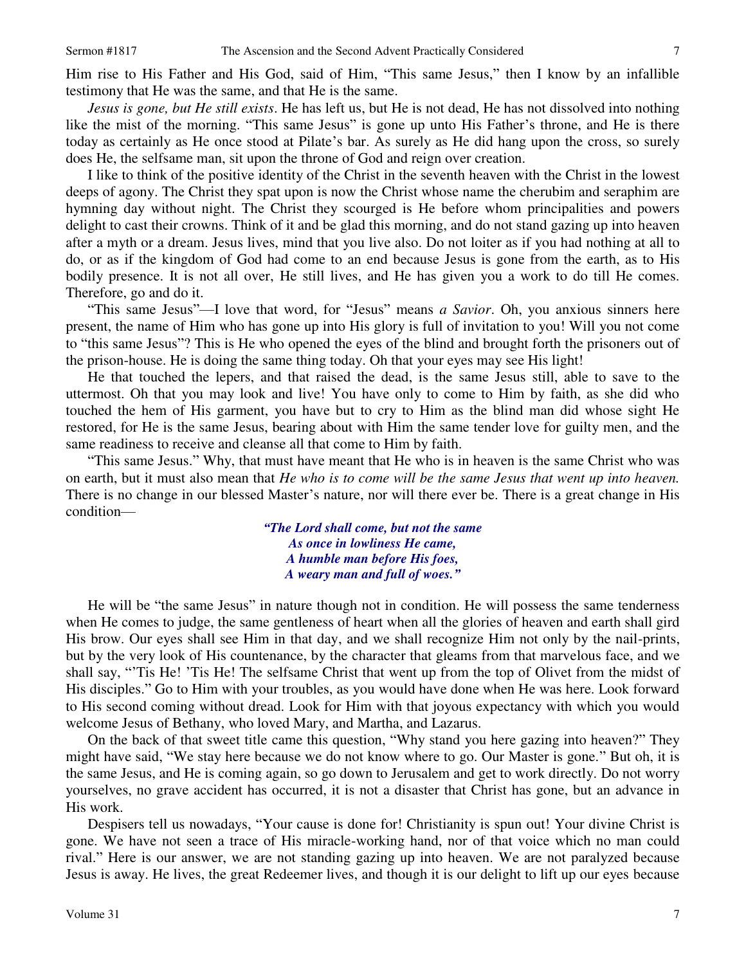Him rise to His Father and His God, said of Him, "This same Jesus," then I know by an infallible testimony that He was the same, and that He is the same.

*Jesus is gone, but He still exists*. He has left us, but He is not dead, He has not dissolved into nothing like the mist of the morning. "This same Jesus" is gone up unto His Father's throne, and He is there today as certainly as He once stood at Pilate's bar. As surely as He did hang upon the cross, so surely does He, the selfsame man, sit upon the throne of God and reign over creation.

 I like to think of the positive identity of the Christ in the seventh heaven with the Christ in the lowest deeps of agony. The Christ they spat upon is now the Christ whose name the cherubim and seraphim are hymning day without night. The Christ they scourged is He before whom principalities and powers delight to cast their crowns. Think of it and be glad this morning, and do not stand gazing up into heaven after a myth or a dream. Jesus lives, mind that you live also. Do not loiter as if you had nothing at all to do, or as if the kingdom of God had come to an end because Jesus is gone from the earth, as to His bodily presence. It is not all over, He still lives, and He has given you a work to do till He comes. Therefore, go and do it.

"This same Jesus"—I love that word, for "Jesus" means *a Savior*. Oh, you anxious sinners here present, the name of Him who has gone up into His glory is full of invitation to you! Will you not come to "this same Jesus"? This is He who opened the eyes of the blind and brought forth the prisoners out of the prison-house. He is doing the same thing today. Oh that your eyes may see His light!

 He that touched the lepers, and that raised the dead, is the same Jesus still, able to save to the uttermost. Oh that you may look and live! You have only to come to Him by faith, as she did who touched the hem of His garment, you have but to cry to Him as the blind man did whose sight He restored, for He is the same Jesus, bearing about with Him the same tender love for guilty men, and the same readiness to receive and cleanse all that come to Him by faith.

"This same Jesus." Why, that must have meant that He who is in heaven is the same Christ who was on earth, but it must also mean that *He who is to come will be the same Jesus that went up into heaven.* There is no change in our blessed Master's nature, nor will there ever be. There is a great change in His condition—

> *"The Lord shall come, but not the same As once in lowliness He came, A humble man before His foes, A weary man and full of woes."*

 He will be "the same Jesus" in nature though not in condition. He will possess the same tenderness when He comes to judge, the same gentleness of heart when all the glories of heaven and earth shall gird His brow. Our eyes shall see Him in that day, and we shall recognize Him not only by the nail-prints, but by the very look of His countenance, by the character that gleams from that marvelous face, and we shall say, "'Tis He! 'Tis He! The selfsame Christ that went up from the top of Olivet from the midst of His disciples." Go to Him with your troubles, as you would have done when He was here. Look forward to His second coming without dread. Look for Him with that joyous expectancy with which you would welcome Jesus of Bethany, who loved Mary, and Martha, and Lazarus.

 On the back of that sweet title came this question, "Why stand you here gazing into heaven?" They might have said, "We stay here because we do not know where to go. Our Master is gone." But oh, it is the same Jesus, and He is coming again, so go down to Jerusalem and get to work directly. Do not worry yourselves, no grave accident has occurred, it is not a disaster that Christ has gone, but an advance in His work.

 Despisers tell us nowadays, "Your cause is done for! Christianity is spun out! Your divine Christ is gone. We have not seen a trace of His miracle-working hand, nor of that voice which no man could rival." Here is our answer, we are not standing gazing up into heaven. We are not paralyzed because Jesus is away. He lives, the great Redeemer lives, and though it is our delight to lift up our eyes because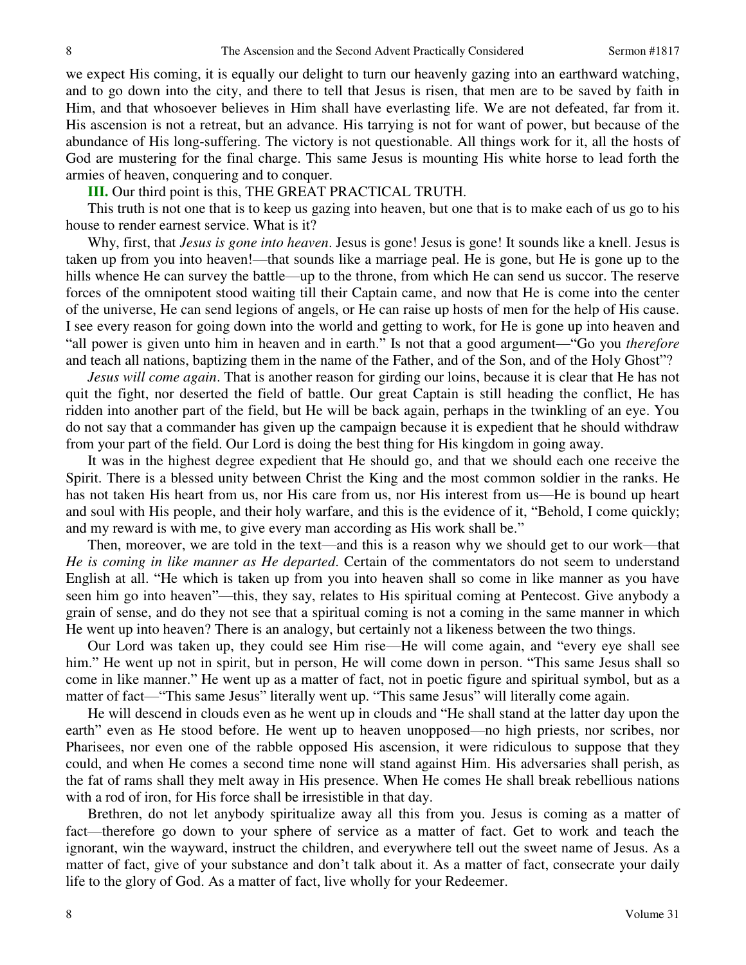we expect His coming, it is equally our delight to turn our heavenly gazing into an earthward watching, and to go down into the city, and there to tell that Jesus is risen, that men are to be saved by faith in Him, and that whosoever believes in Him shall have everlasting life. We are not defeated, far from it. His ascension is not a retreat, but an advance. His tarrying is not for want of power, but because of the abundance of His long-suffering. The victory is not questionable. All things work for it, all the hosts of God are mustering for the final charge. This same Jesus is mounting His white horse to lead forth the armies of heaven, conquering and to conquer.

#### **III.** Our third point is this, THE GREAT PRACTICAL TRUTH.

 This truth is not one that is to keep us gazing into heaven, but one that is to make each of us go to his house to render earnest service. What is it?

 Why, first, that *Jesus is gone into heaven*. Jesus is gone! Jesus is gone! It sounds like a knell. Jesus is taken up from you into heaven!—that sounds like a marriage peal. He is gone, but He is gone up to the hills whence He can survey the battle—up to the throne, from which He can send us succor. The reserve forces of the omnipotent stood waiting till their Captain came, and now that He is come into the center of the universe, He can send legions of angels, or He can raise up hosts of men for the help of His cause. I see every reason for going down into the world and getting to work, for He is gone up into heaven and "all power is given unto him in heaven and in earth." Is not that a good argument—"Go you *therefore*  and teach all nations, baptizing them in the name of the Father, and of the Son, and of the Holy Ghost"?

*Jesus will come again*. That is another reason for girding our loins, because it is clear that He has not quit the fight, nor deserted the field of battle. Our great Captain is still heading the conflict, He has ridden into another part of the field, but He will be back again, perhaps in the twinkling of an eye. You do not say that a commander has given up the campaign because it is expedient that he should withdraw from your part of the field. Our Lord is doing the best thing for His kingdom in going away.

 It was in the highest degree expedient that He should go, and that we should each one receive the Spirit. There is a blessed unity between Christ the King and the most common soldier in the ranks. He has not taken His heart from us, nor His care from us, nor His interest from us—He is bound up heart and soul with His people, and their holy warfare, and this is the evidence of it, "Behold, I come quickly; and my reward is with me, to give every man according as His work shall be."

 Then, moreover, we are told in the text—and this is a reason why we should get to our work—that *He is coming in like manner as He departed*. Certain of the commentators do not seem to understand English at all. "He which is taken up from you into heaven shall so come in like manner as you have seen him go into heaven"—this, they say, relates to His spiritual coming at Pentecost. Give anybody a grain of sense, and do they not see that a spiritual coming is not a coming in the same manner in which He went up into heaven? There is an analogy, but certainly not a likeness between the two things.

 Our Lord was taken up, they could see Him rise—He will come again, and "every eye shall see him." He went up not in spirit, but in person, He will come down in person. "This same Jesus shall so come in like manner." He went up as a matter of fact, not in poetic figure and spiritual symbol, but as a matter of fact—"This same Jesus" literally went up. "This same Jesus" will literally come again.

 He will descend in clouds even as he went up in clouds and "He shall stand at the latter day upon the earth" even as He stood before. He went up to heaven unopposed—no high priests, nor scribes, nor Pharisees, nor even one of the rabble opposed His ascension, it were ridiculous to suppose that they could, and when He comes a second time none will stand against Him. His adversaries shall perish, as the fat of rams shall they melt away in His presence. When He comes He shall break rebellious nations with a rod of iron, for His force shall be irresistible in that day.

 Brethren, do not let anybody spiritualize away all this from you. Jesus is coming as a matter of fact—therefore go down to your sphere of service as a matter of fact. Get to work and teach the ignorant, win the wayward, instruct the children, and everywhere tell out the sweet name of Jesus. As a matter of fact, give of your substance and don't talk about it. As a matter of fact, consecrate your daily life to the glory of God. As a matter of fact, live wholly for your Redeemer.